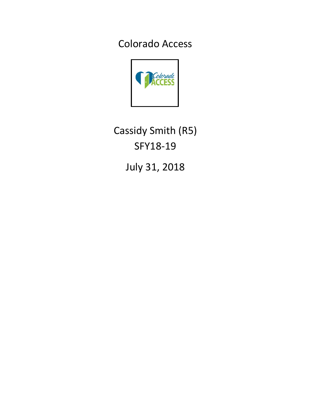Colorado Access



Cassidy Smith (R5) SFY18-19

July 31, 2018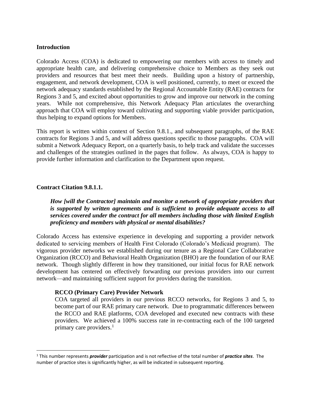### **Introduction**

Colorado Access (COA) is dedicated to empowering our members with access to timely and appropriate health care, and delivering comprehensive choice to Members as they seek out providers and resources that best meet their needs. Building upon a history of partnership, engagement, and network development, COA is well positioned, currently, to meet or exceed the network adequacy standards established by the Regional Accountable Entity (RAE) contracts for Regions 3 and 5, and excited about opportunities to grow and improve our network in the coming years. While not comprehensive, this Network Adequacy Plan articulates the overarching approach that COA will employ toward cultivating and supporting viable provider participation, thus helping to expand options for Members.

This report is written within context of Section 9.8.1., and subsequent paragraphs, of the RAE contracts for Regions 3 and 5, and will address questions specific to those paragraphs. COA will submit a Network Adequacy Report, on a quarterly basis, to help track and validate the successes and challenges of the strategies outlined in the pages that follow. As always, COA is happy to provide further information and clarification to the Department upon request.

#### **Contract Citation 9.8.1.1.**

*How [will the Contractor] maintain and monitor a network of appropriate providers that is supported by written agreements and is sufficient to provide adequate access to all services covered under the contract for all members including those with limited English proficiency and members with physical or mental disabilities?*

Colorado Access has extensive experience in developing and supporting a provider network dedicated to servicing members of Health First Colorado (Colorado's Medicaid program). The vigorous provider networks we established during our tenure as a Regional Care Collaborative Organization (RCCO) and Behavioral Health Organization (BHO) are the foundation of our RAE network. Though slightly different in how they transitioned, our initial focus for RAE network development has centered on effectively forwarding our previous providers into our current network—and maintaining sufficient support for providers during the transition.

#### **RCCO (Primary Care) Provider Network**

COA targeted all providers in our previous RCCO networks, for Regions 3 and 5, to become part of our RAE primary care network. Due to programmatic differences between the RCCO and RAE platforms, COA developed and executed new contracts with these providers. We achieved a 100% success rate in re-contracting each of the 100 targeted primary care providers. 1

<sup>1</sup> This number represents *provider* participation and is not reflective of the total number of *practice sites*. The number of practice sites is significantly higher, as will be indicated in subsequent reporting.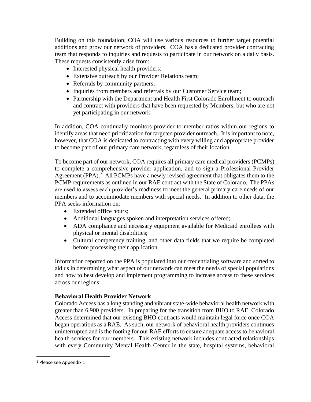Building on this foundation, COA will use various resources to further target potential additions and grow our network of providers. COA has a dedicated provider contracting team that responds to inquiries and requests to participate in our network on a daily basis. These requests consistently arise from:

- Interested physical health providers;
- Extensive outreach by our Provider Relations team;
- Referrals by community partners;
- Inquiries from members and referrals by our Customer Service team;
- Partnership with the Department and Health First Colorado Enrollment to outreach and contract with providers that have been requested by Members, but who are not yet participating in our network.

In addition, COA continually monitors provider to member ratios within our regions to identify areas that need prioritization for targeted provider outreach. It is important to note, however, that COA is dedicated to contracting with every willing and appropriate provider to become part of our primary care network, regardless of their location.

To become part of our network, COA requires all primary care medical providers (PCMPs) to complete a comprehensive provider application, and to sign a Professional Provider Agreement (PPA).<sup>2</sup> All PCMPs have a newly revised agreement that obligates them to the PCMP requirements as outlined in our RAE contract with the State of Colorado. The PPAs are used to assess each provider's readiness to meet the general primary care needs of our members and to accommodate members with special needs. In addition to other data, the PPA seeks information on:

- Extended office hours;
- Additional languages spoken and interpretation services offered;
- ADA compliance and necessary equipment available for Medicaid enrollees with physical or mental disabilities;
- Cultural competency training, and other data fields that we require be completed before processing their application.

Information reported on the PPA is populated into our credentialing software and sorted to aid us in determining what aspect of our network can meet the needs of special populations and how to best develop and implement programming to increase access to these services across our regions.

## **Behavioral Health Provider Network**

Colorado Access has a long standing and vibrant state-wide behavioral health network with greater than 6,900 providers. In preparing for the transition from BHO to RAE, Colorado Access determined that our existing BHO contracts would maintain legal force once COA began operations as a RAE. As such, our network of behavioral health providers continues uninterrupted and is the footing for our RAE efforts to ensure adequate access to behavioral health services for our members. This existing network includes contracted relationships with every Community Mental Health Center in the state, hospital systems, behavioral

<sup>2</sup> Please see Appendix 1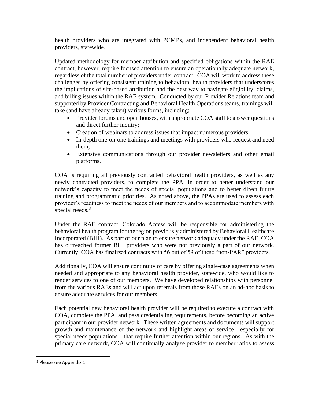health providers who are integrated with PCMPs, and independent behavioral health providers, statewide.

Updated methodology for member attribution and specified obligations within the RAE contract, however, require focused attention to ensure an operationally adequate network, regardless of the total number of providers under contract. COA will work to address these challenges by offering consistent training to behavioral health providers that underscores the implications of site-based attribution and the best way to navigate eligibility, claims, and billing issues within the RAE system. Conducted by our Provider Relations team and supported by Provider Contracting and Behavioral Health Operations teams, trainings will take (and have already taken) various forms, including:

- Provider forums and open houses, with appropriate COA staff to answer questions and direct further inquiry;
- Creation of webinars to address issues that impact numerous providers;
- In-depth one-on-one trainings and meetings with providers who request and need them;
- Extensive communications through our provider newsletters and other email platforms.

COA is requiring all previously contracted behavioral health providers, as well as any newly contracted providers, to complete the PPA, in order to better understand our network's capacity to meet the needs of special populations and to better direct future training and programmatic priorities. As noted above, the PPAs are used to assess each provider's readiness to meet the needs of our members and to accommodate members with special needs.<sup>3</sup>

Under the RAE contract, Colorado Access will be responsible for administering the behavioral health program for the region previously administered by Behavioral Healthcare Incorporated (BHI). As part of our plan to ensure network adequacy under the RAE, COA has outreached former BHI providers who were not previously a part of our network. Currently, COA has finalized contracts with 56 out of 59 of these "non-PAR" providers.

Additionally, COA will ensure continuity of care by offering single-case agreements when needed and appropriate to any behavioral health provider, statewide, who would like to render services to one of our members. We have developed relationships with personnel from the various RAEs and will act upon referrals from those RAEs on an ad-hoc basis to ensure adequate services for our members.

Each potential new behavioral health provider will be required to execute a contract with COA, complete the PPA, and pass credentialing requirements, before becoming an active participant in our provider network. These written agreements and documents will support growth and maintenance of the network and highlight areas of service—especially for special needs populations—that require further attention within our regions. As with the primary care network, COA will continually analyze provider to member ratios to assess

<sup>3</sup> Please see Appendix 1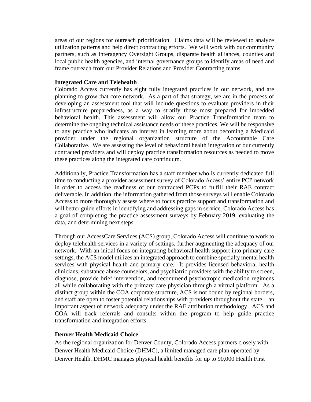areas of our regions for outreach prioritization. Claims data will be reviewed to analyze utilization patterns and help direct contracting efforts. We will work with our community partners, such as Interagency Oversight Groups, disparate health alliances, counties and local public health agencies, and internal governance groups to identify areas of need and frame outreach from our Provider Relations and Provider Contracting teams.

### **Integrated Care and Telehealth**

Colorado Access currently has eight fully integrated practices in our network, and are planning to grow that core network. As a part of that strategy, we are in the process of developing an assessment tool that will include questions to evaluate providers in their infrastructure preparedness, as a way to stratify those most prepared for imbedded behavioral health. This assessment will allow our Practice Transformation team to determine the ongoing technical assistance needs of these practices. We will be responsive to any practice who indicates an interest in learning more about becoming a Medicaid provider under the regional organization structure of the Accountable Care Collaborative. We are assessing the level of behavioral health integration of our currently contracted providers and will deploy practice transformation resources as needed to move these practices along the integrated care continuum.

Additionally, Practice Transformation has a staff member who is currently dedicated full time to conducting a provider assessment survey of Colorado Access' entire PCP network in order to access the readiness of our contracted PCPs to fulfill their RAE contract deliverable. In addition, the information gathered from those surveys will enable Colorado Access to more thoroughly assess where to focus practice support and transformation and will better guide efforts in identifying and addressing gaps in service. Colorado Access has a goal of completing the practice assessment surveys by February 2019, evaluating the data, and determining next steps.

Through our AccessCare Services (ACS) group, Colorado Access will continue to work to deploy telehealth services in a variety of settings, further augmenting the adequacy of our network. With an initial focus on integrating behavioral health support into primary care settings, the ACS model utilizes an integrated approach to combine specialty mental health services with physical health and primary care. It provides licensed behavioral health clinicians, substance abuse counselors, and psychiatric providers with the ability to screen, diagnose, provide brief intervention, and recommend psychotropic medication regimens all while collaborating with the primary care physician through a virtual platform. As a distinct group within the COA corporate structure, ACS is not bound by regional borders, and staff are open to foster potential relationships with providers throughout the state—an important aspect of network adequacy under the RAE attribution methodology. ACS and COA will track referrals and consults within the program to help guide practice transformation and integration efforts.

#### **Denver Health Medicaid Choice**

As the regional organization for Denver County, Colorado Access partners closely with Denver Health Medicaid Choice (DHMC), a limited managed care plan operated by Denver Health. DHMC manages physical health benefits for up to 90,000 Health First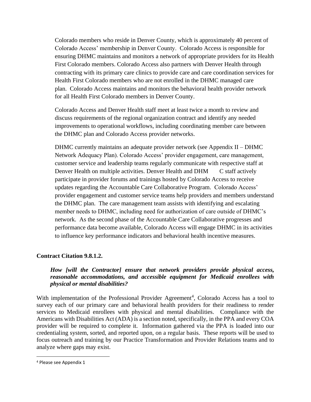Colorado members who reside in Denver County, which is approximately 40 percent of Colorado Access' membership in Denver County. Colorado Access is responsible for ensuring DHMC maintains and monitors a network of appropriate providers for its Health First Colorado members. Colorado Access also partners with Denver Health through contracting with its primary care clinics to provide care and care coordination services for Health First Colorado members who are not enrolled in the DHMC managed care plan. Colorado Access maintains and monitors the behavioral health provider network for all Health First Colorado members in Denver County.

Colorado Access and Denver Health staff meet at least twice a month to review and discuss requirements of the regional organization contract and identify any needed improvements to operational workflows, including coordinating member care between the DHMC plan and Colorado Access provider networks.

DHMC currently maintains an adequate provider network (see Appendix II – DHMC Network Adequacy Plan). Colorado Access' provider engagement, care management, customer service and leadership teams regularly communicate with respective staff at Denver Health on multiple activities. Denver Health and DHM C staff actively participate in provider forums and trainings hosted by Colorado Access to receive updates regarding the Accountable Care Collaborative Program. Colorado Access' provider engagement and customer service teams help providers and members understand the DHMC plan. The care management team assists with identifying and escalating member needs to DHMC, including need for authorization of care outside of DHMC's network. As the second phase of the Accountable Care Collaborative progresses and performance data become available, Colorado Access will engage DHMC in its activities to influence key performance indicators and behavioral health incentive measures.

## **Contract Citation 9.8.1.2.**

## *How [will the Contractor] ensure that network providers provide physical access, reasonable accommodations, and accessible equipment for Medicaid enrollees with physical or mental disabilities?*

With implementation of the Professional Provider Agreement<sup>4</sup>, Colorado Access has a tool to survey each of our primary care and behavioral health providers for their readiness to render services to Medicaid enrollees with physical and mental disabilities. Compliance with the Americans with Disabilities Act (ADA) is a section noted, specifically, in the PPA and every COA provider will be required to complete it. Information gathered via the PPA is loaded into our credentialing system, sorted, and reported upon, on a regular basis. These reports will be used to focus outreach and training by our Practice Transformation and Provider Relations teams and to analyze where gaps may exist.

<sup>4</sup> Please see Appendix 1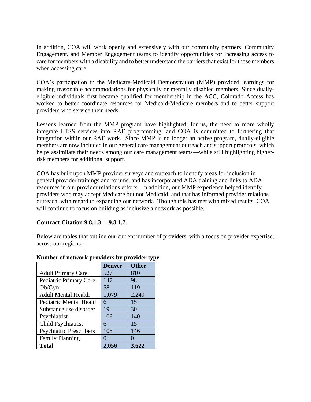In addition, COA will work openly and extensively with our community partners, Community Engagement, and Member Engagement teams to identify opportunities for increasing access to care for members with a disability and to better understand the barriers that exist for those members when accessing care.

COA's participation in the Medicare-Medicaid Demonstration (MMP) provided learnings for making reasonable accommodations for physically or mentally disabled members. Since duallyeligible individuals first became qualified for membership in the ACC, Colorado Access has worked to better coordinate resources for Medicaid-Medicare members and to better support providers who service their needs.

Lessons learned from the MMP program have highlighted, for us, the need to more wholly integrate LTSS services into RAE programming, and COA is committed to furthering that integration within our RAE work. Since MMP is no longer an active program, dually-eligible members are now included in our general care management outreach and support protocols, which helps assimilate their needs among our care management teams—while still highlighting higherrisk members for additional support.

COA has built upon MMP provider surveys and outreach to identify areas for inclusion in general provider trainings and forums, and has incorporated ADA training and links to ADA resources in our provider relations efforts. In addition, our MMP experience helped identify providers who may accept Medicare but not Medicaid, and that has informed provider relations outreach, with regard to expanding our network. Though this has met with mixed results, COA will continue to focus on building as inclusive a network as possible.

### **Contract Citation 9.8.1.3. – 9.8.1.7.**

Below are tables that outline our current number of providers, with a focus on provider expertise, across our regions:

|                                | <b>Denver</b> | <b>Other</b> |
|--------------------------------|---------------|--------------|
| <b>Adult Primary Care</b>      | 527           | 810          |
| Pediatric Primary Care         | 147           | 98           |
| Ob/Gyn                         | 58            | 119          |
| <b>Adult Mental Health</b>     | 1,079         | 2,249        |
| <b>Pediatric Mental Health</b> | 6             | 15           |
| Substance use disorder         | 19            | 30           |
| Psychiatrist                   | 106           | 140          |
| Child Psychiatrist             | 6             | 15           |
| <b>Psychiatric Prescribers</b> | 108           | 146          |
| <b>Family Planning</b>         | $\mathcal{O}$ |              |
| <b>Total</b>                   | 2,056         | 3,622        |

## **Number of network providers by provider type**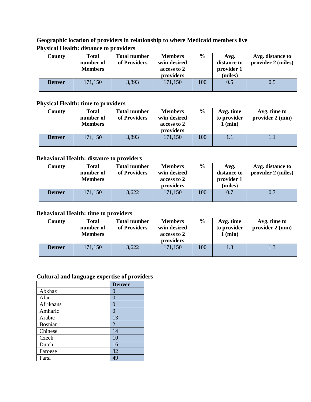# **Geographic location of providers in relationship to where Medicaid members live Physical Health: distance to providers**

| County        | <b>Total</b><br>number of<br><b>Members</b> | <b>Total number</b><br>of Providers | <b>Members</b><br>w/in desired<br>access to 2<br>providers | $\frac{6}{9}$ | Avg.<br>distance to<br>provider 1<br>(miles) | Avg. distance to<br>provider 2 (miles) |
|---------------|---------------------------------------------|-------------------------------------|------------------------------------------------------------|---------------|----------------------------------------------|----------------------------------------|
| <b>Denver</b> | 171,150                                     | 3,893                               | 171,150                                                    | 100           | 0.5                                          | 0.5                                    |

# **Physical Health: time to providers**

| County        | <b>Total</b><br>number of<br><b>Members</b> | <b>Total number</b><br>of Providers | <b>Members</b><br>w/in desired<br>access to 2<br>providers | $\frac{6}{10}$ | Avg. time<br>to provider<br>$1$ (min) | Avg. time to<br>provider $2 \text{ (min)}$ |
|---------------|---------------------------------------------|-------------------------------------|------------------------------------------------------------|----------------|---------------------------------------|--------------------------------------------|
| <b>Denver</b> | 171,150                                     | 3,893                               | 171,150                                                    | 100            |                                       |                                            |

## **Behavioral Health: distance to providers**

| County        | <b>Total</b><br>number of<br><b>Members</b> | <b>Total number</b><br>of Providers | <b>Members</b><br>w/in desired<br>access to 2<br>providers | $\frac{6}{6}$ | Avg.<br>distance to<br>provider 1<br>(miles) | Avg. distance to<br>provider 2 (miles) |
|---------------|---------------------------------------------|-------------------------------------|------------------------------------------------------------|---------------|----------------------------------------------|----------------------------------------|
| <b>Denver</b> | 171,150                                     | 3,622                               | 171,150                                                    | 100           | 0.7                                          | 0.7                                    |

# **Behavioral Health: time to providers**

| County        | <b>Total</b><br>number of<br><b>Members</b> | <b>Total number</b><br>of Providers | <b>Members</b><br>w/in desired<br>access to 2<br>providers | $\%$ | Avg. time<br>to provider<br>1 (min) | Avg. time to<br>provider 2 (min) |
|---------------|---------------------------------------------|-------------------------------------|------------------------------------------------------------|------|-------------------------------------|----------------------------------|
| <b>Denver</b> | 171,150                                     | 3,622                               | 171,150                                                    | 100  |                                     | 1.3                              |

# **Cultural and language expertise of providers**

|                | <b>Denver</b>    |
|----------------|------------------|
| Abkhaz         | $\left( \right)$ |
| Afar           | 0                |
| Afrikaans      | 0                |
| Amharic        | $\left( \right)$ |
| Arabic         | 13               |
| <b>Bosnian</b> | $\overline{2}$   |
| Chinese        | 14               |
| Czech          | 10               |
| Dutch          | 16               |
| Faroese        | 32               |
| Farsi          | 49               |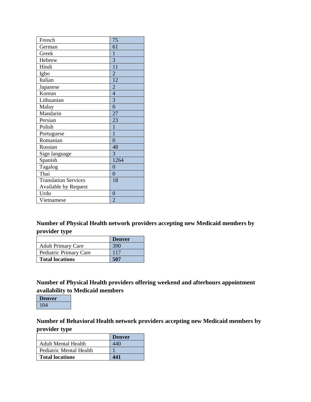| French                      | 75               |
|-----------------------------|------------------|
| German                      | 61               |
| Greek                       | $\mathbf{1}$     |
| Hebrew                      | 3                |
| Hindi                       | 11               |
| Igbo                        | $\overline{2}$   |
| Italian                     | 12               |
| Japanese                    | $\overline{2}$   |
| Korean                      | $\overline{4}$   |
| Lithuanian                  | $\overline{3}$   |
| Malay                       | $\overline{0}$   |
| Mandarin                    | 27               |
| Persian                     | 23               |
| Polish                      | $\mathbf{1}$     |
| Portuguese                  | $\mathbf{1}$     |
| Romanian                    | $\overline{0}$   |
| Russian                     | 48               |
| Sign language               | 3                |
| Spanish                     | 1264             |
| Tagalog                     | $\boldsymbol{0}$ |
| Thai                        | $\overline{0}$   |
| <b>Translation Services</b> | 18               |
| Available by Request        |                  |
| Urdu                        | $\overline{0}$   |
| Vietnamese                  | $\overline{2}$   |

# **Number of Physical Health network providers accepting new Medicaid members by provider type**

|                           | <b>Denver</b> |
|---------------------------|---------------|
| <b>Adult Primary Care</b> | 390           |
| Pediatric Primary Care    | 117           |
| <b>Total locations</b>    | 507           |

**Number of Physical Health providers offering weekend and afterhours appointment availability to Medicaid members**



**Number of Behavioral Health network providers accepting new Medicaid members by provider type**

|                            | <b>Denver</b> |
|----------------------------|---------------|
| <b>Adult Mental Health</b> | 440           |
| Pediatric Mental Health    |               |
| <b>Total locations</b>     | 441           |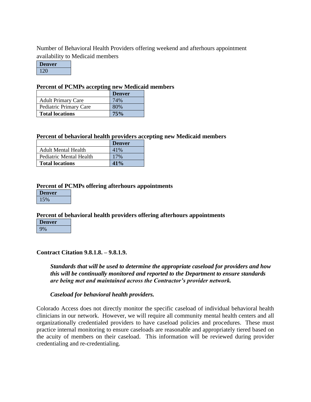Number of Behavioral Health Providers offering weekend and afterhours appointment availability to Medicaid members

**Denver** 120

### **Percent of PCMPs accepting new Medicaid members**

|                           | <b>Denver</b> |
|---------------------------|---------------|
| <b>Adult Primary Care</b> | 74%           |
| Pediatric Primary Care    | 80%           |
| <b>Total locations</b>    | 75%           |

### **Percent of behavioral health providers accepting new Medicaid members**

|                         | <b>Denver</b> |
|-------------------------|---------------|
| Adult Mental Health     | 41%           |
| Pediatric Mental Health | 17%           |
| <b>Total locations</b>  | 41%           |

### **Percent of PCMPs offering afterhours appointments**

| <b>Denver</b> |  |
|---------------|--|
|               |  |

### **Percent of behavioral health providers offering afterhours appointments**

| <b>Denver</b> |
|---------------|
|               |

### **Contract Citation 9.8.1.8. – 9.8.1.9.**

*Standards that will be used to determine the appropriate caseload for providers and how this will be continually monitored and reported to the Department to ensure standards are being met and maintained across the Contractor's provider network.*

### *Caseload for behavioral health providers.*

Colorado Access does not directly monitor the specific caseload of individual behavioral health clinicians in our network. However, we will require all community mental health centers and all organizationally credentialed providers to have caseload policies and procedures. These must practice internal monitoring to ensure caseloads are reasonable and appropriately tiered based on the acuity of members on their caseload. This information will be reviewed during provider credentialing and re-credentialing.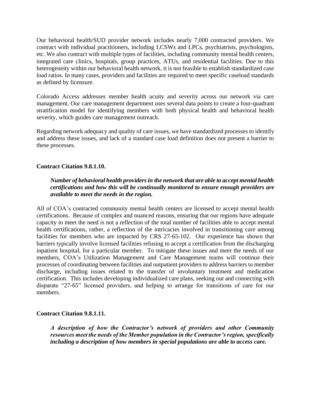Our behavioral health/SUD provider network includes nearly 7,000 contracted providers. We contract with individual practitioners, including LCSWs and LPCs, psychiatrists, psychologists, etc. We also contract with multiple types of facilities, including community mental health centers, integrated care clinics, hospitals, group practices, ATUs, and residential facilities. Due to this heterogeneity within our behavioral health network, it is not feasible to establish standardized case load ratios. In many cases, providers and facilities are required to meet specific caseload standards as defined by licensure.

Colorado Access addresses member health acuity and severity across our network via care management. Our care management department uses several data points to create a four-quadrant stratification model for identifying members with both physical health and behavioral health severity, which guides care management outreach.

Regarding network adequacy and quality of care issues, we have standardized processes to identify and address these issues, and lack of a standard case load definition does not present a barrier to these processes.

### **Contract Citation 9.8.1.10.**

*Number of behavioral health providers in the network that are able to accept mental health certifications and how this will be continually monitored to ensure enough providers are available to meet the needs in the region.*

All of COA's contracted community mental health centers are licensed to accept mental health certifications. Because of complex and nuanced reasons, ensuring that our regions have adequate capacity to meet the need is not a reflection of the total number of facilities able to accept mental health certifications, rather, a reflection of the intricacies involved in transitioning care among facilities for members who are impacted by CRS 27-65-102. Our experience has shown that barriers typically involve licensed facilities refusing to accept a certification from the discharging inpatient hospital, for a particular member. To mitigate these issues and meet the needs of our members, COA's Utilization Management and Care Management teams will continue their processes of coordinating between facilities and outpatient providers to address barriers to member discharge, including issues related to the transfer of involuntary treatment and medication certification. This includes developing individualized care plans, seeking out and connecting with disparate "27-65" licensed providers, and helping to arrange for transitions of care for our members.

### **Contract Citation 9.8.1.11.**

*A description of how the Contractor's network of providers and other Community resources meet the needs of the Member population in the Contractor's region, specifically including a description of how members in special populations are able to access care.*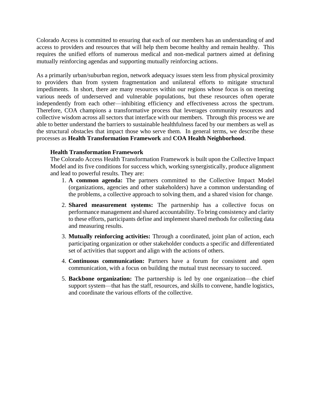Colorado Access is committed to ensuring that each of our members has an understanding of and access to providers and resources that will help them become healthy and remain healthy. This requires the unified efforts of numerous medical and non-medical partners aimed at defining mutually reinforcing agendas and supporting mutually reinforcing actions.

As a primarily urban/suburban region, network adequacy issues stem less from physical proximity to providers than from system fragmentation and unilateral efforts to mitigate structural impediments. In short, there are many resources within our regions whose focus is on meeting various needs of underserved and vulnerable populations, but these resources often operate independently from each other—inhibiting efficiency and effectiveness across the spectrum. Therefore, COA champions a transformative process that leverages community resources and collective wisdom across all sectors that interface with our members. Through this process we are able to better understand the barriers to sustainable healthfulness faced by our members as well as the structural obstacles that impact those who serve them. In general terms, we describe these processes as **Health Transformation Framework** and **COA Health Neighborhood**.

### **Health Transformation Framework**

The Colorado Access Health Transformation Framework is built upon the Collective Impact Model and its five conditions for success which, working synergistically, produce alignment and lead to powerful results. They are:

- 1. **A common agenda:** The partners committed to the Collective Impact Model (organizations, agencies and other stakeholders) have a common understanding of the problems, a collective approach to solving them, and a shared vision for change.
- 2. **Shared measurement systems:** The partnership has a collective focus on performance management and shared accountability. To bring consistency and clarity to these efforts, participants define and implement shared methods for collecting data and measuring results.
- 3. **Mutually reinforcing activities:** Through a coordinated, joint plan of action, each participating organization or other stakeholder conducts a specific and differentiated set of activities that support and align with the actions of others.
- 4. **Continuous communication:** Partners have a forum for consistent and open communication, with a focus on building the mutual trust necessary to succeed.
- 5. **Backbone organization:** The partnership is led by one organization—the chief support system—that has the staff, resources, and skills to convene, handle logistics, and coordinate the various efforts of the collective.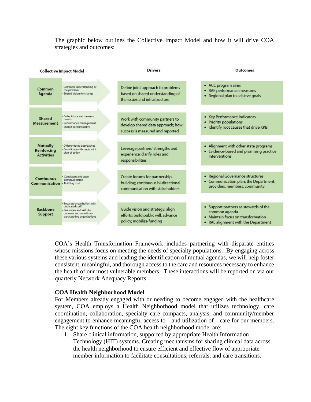The graphic below outlines the Collective Impact Model and how it will drive COA strategies and outcomes:

| <b>Collective Impact Model</b>                      |                                                                                                                                       | <b>Drivers</b>                                                                                           | <b>Outcomes</b>                                                                                                                     |
|-----------------------------------------------------|---------------------------------------------------------------------------------------------------------------------------------------|----------------------------------------------------------------------------------------------------------|-------------------------------------------------------------------------------------------------------------------------------------|
| Common<br>Agenda                                    | · Common understanding of<br>the problem<br>· Shared vision for change                                                                | Define joint approach to problems<br>based on shared understanding of<br>the issues and infrastructure   | • ACC program aims<br>RAE performance measures<br>• Regional plan to achieve goals                                                  |
| Shared<br><b>Measurement</b>                        | · Collect data and measure<br>results<br>· Performance management<br>· Shared accountability                                          | Work with community partners to<br>develop shared data approach; how<br>success is measured and reported | • Key Performance Indicators<br>• Priority populations<br>. Identify root causes that drive KPIs                                    |
| <b>Mutually</b><br>Reinforcing<br><b>Activities</b> | · Differentiated approaches<br>· Coordination through joint<br>plan of action                                                         | Leverage partners' strengths and<br>experience; clarify roles and<br>responsibilities                    | • Alignment with other state programs<br>• Evidence-based and promising practice<br>interventions                                   |
| <b>Continuous</b><br>Communication                  | · Consistent and open<br>communication<br><b>Building trust</b>                                                                       | Create forums for partnership-<br>building; continuous bi-directional<br>communication with stakeholders | • Regional Governance structures<br>• Communication plan: the Department,<br>providers, members, community                          |
| <b>Backbone</b><br><b>Support</b>                   | · Separate organization with<br>dedicated staff<br>- Resources and skills to<br>convene and coordinate<br>participating organizations | Guide vision and strategy; align<br>efforts; build public will; advance<br>policy; mobilize funding      | • Support partners as stewards of the<br>common agenda<br>• Maintain focus on transformation<br>• RAE alignment with the Department |

COA's Health Transformation Framework includes partnering with disparate entities whose missions focus on meeting the needs of specialty populations. By engaging across these various systems and leading the identification of mutual agendas, we will help foster consistent, meaningful, and thorough access to the care and resources necessary to enhance the health of our most vulnerable members. These interactions will be reported on via our quarterly Network Adequacy Reports.

#### **COA Health Neighborhood Model**

For Members already engaged with or needing to become engaged with the healthcare system, COA employs a Health Neighborhood model that utilizes technology, care coordination, collaboration, specialty care compacts, analysis, and community/member engagement to enhance meaningful access to—and utilization of—care for our members. The eight key functions of the COA health neighborhood model are:

1. Share clinical information, supported by appropriate Health Information Technology (HIT) systems. Creating mechanisms for sharing clinical data across the health neighborhood to ensure efficient and effective flow of appropriate member information to facilitate consultations, referrals, and care transitions.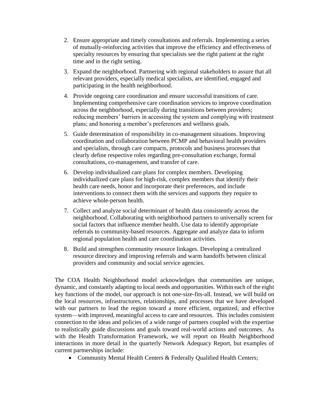- 2. Ensure appropriate and timely consultations and referrals. Implementing a series of mutually-reinforcing activities that improve the efficiency and effectiveness of specialty resources by ensuring that specialists see the right patient at the right time and in the right setting.
- 3. Expand the neighborhood. Partnering with regional stakeholders to assure that all relevant providers, especially medical specialists, are identified, engaged and participating in the health neighborhood.
- 4. Provide ongoing care coordination and ensure successful transitions of care. Implementing comprehensive care coordination services to improve coordination across the neighborhood, especially during transitions between providers; reducing members' barriers in accessing the system and complying with treatment plans; and honoring a member's preferences and wellness goals.
- 5. Guide determination of responsibility in co-management situations. Improving coordination and collaboration between PCMP and behavioral health providers and specialists, through care compacts, protocols and business processes that clearly define respective roles regarding pre-consultation exchange, formal consultations, co-management, and transfer of care.
- 6. Develop individualized care plans for complex members. Developing individualized care plans for high-risk, complex members that identify their health care needs, honor and incorporate their preferences, and include interventions to connect them with the services and supports they require to achieve whole-person health.
- 7. Collect and analyze social determinant of health data consistently across the neighborhood. Collaborating with neighborhood partners to universally screen for social factors that influence member health. Use data to identify appropriate referrals to community-based resources. Aggregate and analyze data to inform regional population health and care coordination activities.
- 8. Build and strengthen community resource linkages. Developing a centralized resource directory and improving referrals and warm handoffs between clinical providers and community and social service agencies.

The COA Health Neighborhood model acknowledges that communities are unique, dynamic, and constantly adapting to local needs and opportunities. Within each of the eight key functions of the model, our approach is not one-size-fits-all. Instead, we will build on the local resources, infrastructures, relationships, and processes that we have developed with our partners to lead the region toward a more efficient, organized, and effective system—with improved, meaningful access to care and resources. This includes consistent connection to the ideas and policies of a wide range of partners coupled with the expertise to realistically guide discussions and goals toward real-world actions and outcomes. As with the Health Transformation Framework, we will report on Health Neighborhood interactions in more detail in the quarterly Network Adequacy Report, but examples of current partnerships include:

• Community Mental Health Centers & Federally Qualified Health Centers;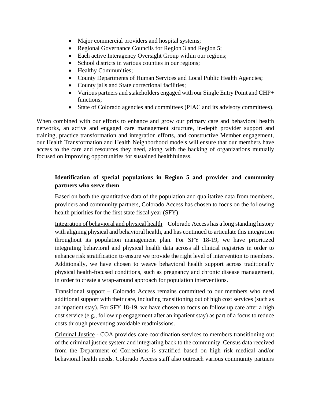- Major commercial providers and hospital systems;
- Regional Governance Councils for Region 3 and Region 5;
- Each active Interagency Oversight Group within our regions;
- School districts in various counties in our regions;
- Healthy Communities;
- County Departments of Human Services and Local Public Health Agencies;
- County jails and State correctional facilities;
- Various partners and stakeholders engaged with our Single Entry Point and CHP+ functions;
- State of Colorado agencies and committees (PIAC and its advisory committees).

When combined with our efforts to enhance and grow our primary care and behavioral health networks, an active and engaged care management structure, in-depth provider support and training, practice transformation and integration efforts, and constructive Member engagement, our Health Transformation and Health Neighborhood models will ensure that our members have access to the care and resources they need, along with the backing of organizations mutually focused on improving opportunities for sustained healthfulness.

## **Identification of special populations in Region 5 and provider and community partners who serve them**

Based on both the quantitative data of the population and qualitative data from members, providers and community partners, Colorado Access has chosen to focus on the following health priorities for the first state fiscal year (SFY):

Integration of behavioral and physical health – Colorado Access has a long standing history with aligning physical and behavioral health, and has continued to articulate this integration throughout its population management plan. For SFY 18-19, we have prioritized integrating behavioral and physical health data across all clinical registries in order to enhance risk stratification to ensure we provide the right level of intervention to members. Additionally, we have chosen to weave behavioral health support across traditionally physical health-focused conditions, such as pregnancy and chronic disease management, in order to create a wrap-around approach for population interventions.

Transitional support – Colorado Access remains committed to our members who need additional support with their care, including transitioning out of high cost services (such as an inpatient stay). For SFY 18-19, we have chosen to focus on follow up care after a high cost service (e.g., follow up engagement after an inpatient stay) as part of a focus to reduce costs through preventing avoidable readmissions.

Criminal Justice - COA provides care coordination services to members transitioning out of the criminal justice system and integrating back to the community. Census data received from the Department of Corrections is stratified based on high risk medical and/or behavioral health needs. Colorado Access staff also outreach various community partners